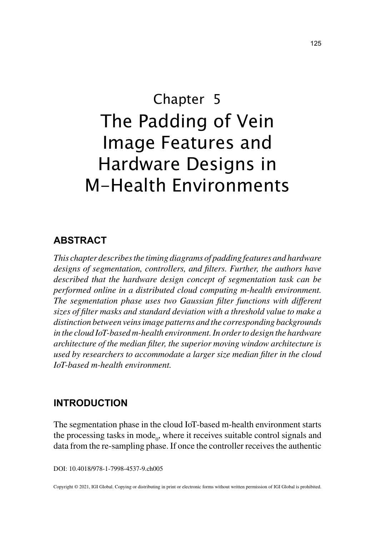# Chapter 5 The Padding of Vein Image Features and Hardware Designs in M-Health Environments

# **ABSTRACT**

*This chapter describes the timing diagrams of padding features and hardware designs of segmentation, controllers, and filters. Further, the authors have described that the hardware design concept of segmentation task can be performed online in a distributed cloud computing m-health environment. The segmentation phase uses two Gaussian filter functions with different sizes of filter masks and standard deviation with a threshold value to make a distinction between veins image patterns and the corresponding backgrounds in the cloud IoT-based m-health environment. In order to design the hardware architecture of the median filter, the superior moving window architecture is used by researchers to accommodate a larger size median filter in the cloud IoT-based m-health environment.*

## **INTRODUCTION**

The segmentation phase in the cloud IoT-based m-health environment starts the processing tasks in mode<sub>0</sub>, where it receives suitable control signals and data from the re-sampling phase. If once the controller receives the authentic

DOI: 10.4018/978-1-7998-4537-9.ch005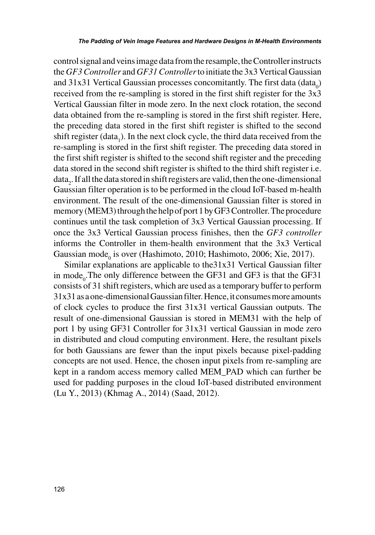control signal and veins image data from the resample, the Controller instructs the *GF3 Controller* and *GF31 Controller* to initiate the 3x3 Vertical Gaussian and 31x31 Vertical Gaussian processes concomitantly. The first data  $(data_0)$ received from the re-sampling is stored in the first shift register for the 3x3 Vertical Gaussian filter in mode zero. In the next clock rotation, the second data obtained from the re-sampling is stored in the first shift register. Here, the preceding data stored in the first shift register is shifted to the second shift register (data<sub>1</sub>). In the next clock cycle, the third data received from the re-sampling is stored in the first shift register. The preceding data stored in the first shift register is shifted to the second shift register and the preceding data stored in the second shift register is shifted to the third shift register i.e. data<sub>2</sub>. If all the data stored in shift registers are valid, then the one-dimensional Gaussian filter operation is to be performed in the cloud IoT-based m-health environment. The result of the one-dimensional Gaussian filter is stored in memory (MEM3) through the help of port 1 by GF3 Controller. The procedure continues until the task completion of 3x3 Vertical Gaussian processing. If once the 3x3 Vertical Gaussian process finishes, then the *GF3 controller* informs the Controller in them-health environment that the 3x3 Vertical Gaussian mode $_{0}$  is over (Hashimoto, 2010; Hashimoto, 2006; Xie, 2017).

Similar explanations are applicable to the31x31 Vertical Gaussian filter in mode<sub>0</sub>. The only difference between the GF31 and GF3 is that the GF31 consists of 31 shift registers, which are used as a temporary buffer to perform 31x31 as a one-dimensional Gaussian filter. Hence, it consumes more amounts of clock cycles to produce the first 31x31 vertical Gaussian outputs. The result of one-dimensional Gaussian is stored in MEM31 with the help of port 1 by using GF31 Controller for 31x31 vertical Gaussian in mode zero in distributed and cloud computing environment. Here, the resultant pixels for both Gaussians are fewer than the input pixels because pixel-padding concepts are not used. Hence, the chosen input pixels from re-sampling are kept in a random access memory called MEM\_PAD which can further be used for padding purposes in the cloud IoT-based distributed environment (Lu Y., 2013) (Khmag A., 2014) (Saad, 2012).